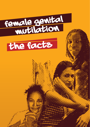

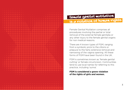

# FEMALE GENITAL MUTILATION is a violation of human rights

Female Genital Mutilation comprises all procedures involving the partial or total removal of the external female genitalia or any other injury to the female genital organs for non medical reasons.

There are 4 known types of FGM, ranging from a symbolic prick to the clitoris or prepuce to the fairly extensive removal and narrowing of the vagina opening. All these forms of FGM have been found in the UK.

FGM is sometimes known as 'female genital cutting' or female circumcision. Communities tend to use local names for referring to this practice, including 'sunna'.

**FGM is considered a grave violation of the rights of girls and women.**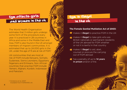# FGM AFFECTS GIRLS and women in the uk

The World Health Organisation estimates that 3 million girls undergo some form of the procedure every year. It is practiced in 28 countries in Africa and some in the Middle East and Asia. FGM is also found in the UK amongst members of migrant communities. It is estimated that up to 24,000 girls in the UK, under the age of 15 are at risk of FGM.<sup>1</sup>

UK communities that are most at risk of FGM include Kenyans, Somalis, Sudanese, Sierra Leoneans, Egyptians, Nigerians and Eritreans. Non African countries that practise FGM include Yemeni, Afghani, Kurdish, Indonesian and Pakistani.

1 Dorkenoo et al, 2007. Available from FORWARD UK.

## Fgm is illegal in the uk

#### **The Female Genital Mutilation Act of 2003:**

- **\*** makes it **illegal** to practice FGM in the UK
- **A** makes it **illegal** to take girls who are<br>British nationals or nermanent reside British nationals or permanent residents of the UK abroad for FGM whether or not it is lawful in that country

5

- $\bigstar$  makes it **illegal** to aid, abet, counsel or procure the carrying out of FGM abroad
- $\bigstar$  has a penalty of up to 14 years in prison and/or a fine.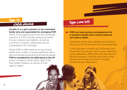### FGM IS Child abuse Fgm can kill

### Usually it is a girl's parents or her extended family who are responsible for arranging FGM.

Some of the reasons given for the continued practice of FGM include; protecting family honour, preserving tradition, ensuring a woman's chastity, cleanliness and as a preparation for marriage.

Whilst FGM is often seen as an act of love, rather then cruelty, it causes significant harm and constitutes physical and emotional abuse. FGM is considered to be child abuse in the UK and is a violation of the child's right to life, their bodily integrity as well as of their right to health.

### FGM can have serious consequences for a woman's health and in some instances can lead to death.

Infections, severe pain, bleeding and tetanus are just some of the short term consequences.

In the long term women can suffer pain and discomfort during sex, chronic pain, infection, cysts, abscesses, difficulties with periods and fertility problems. Women also often suffer severe psychological trauma, including flashbacks and depression.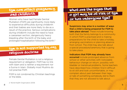# FGM CAN AFFECT PREGNANCY and childbirth

Women who have had Female Genital Mutilation (FGM) are significantly more likely to experience difficulties during childbirth and their babies are more likely to die as a result of the practice. Serious complications during childbirth include the need to have a caesarean section, dangerously heavy bleeding after the birth of the baby and prolonged hospitalisation following the birth.2

# fgm is not supported by any religious doctrine

Female Genital Mutilation is not a religious requirement or obligation. FGM has no link with Islam and is neither a requirement nor a Sunna in Islam. Globally most Muslims do not practise FGM.

FGM is not condoned by Christian teachings or the bible.

what are the signs that a girl may be at risk of fgm or has undergone fam?

Suspicions may arise in a number of ways that a child is being prepared for FGM to take place abroad. These include knowing both that the family belongs to a community in which FGM is practised and is making preparations for the child to take a holiday, arranging vaccinations or planning absence from school. The child may also talk about a special procedure/ceremony that is going to take place.

Indicators that FGM may already have

occurred include prolonged absence from school or other activities with noticeable behaviour change on return, possibly with bladder or menstrual problems. Some teachers have described how children find it difficult to sit still and look uncomfortable, or may complain about pain between their legs, or talk of something somebody did to them that they are not allowed to talk about.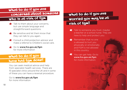# what to do if you are

# concerned about someone

# who is at risk of fgm

- but use simple language and straightforward questions. Talk to them about your concerns.
- Be sensitive and let them know that they can talk to you again. \*
- **\*** Consult a child protection advisor and make a referral to Children's social care.
- $\bigstar$  Go to www.fco.gov.uk/fgm for more information

# What to do if you have had fgm done?

You can seek medical advice and help from specialist health services. There are 15 specialist clinics around the UK and in some of these you can have a reversal procedure.

Go to www.fco.gov.uk/fgm for more information

# what to do if you are Worried you may be at risk of fgm?

**\*** Talk to someone you trust, maybe a teacher or a school nurse. They are here to help and protect you.

11

- $\bullet$  Remember that no one is allowed to hurt you physically or emotionally and FGM is not allowed in this country.
- \* You can get help. Go to www.fco.gov.uk/fgm for more information.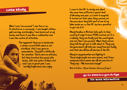### case study

When I was "circumcised" I was five or six. It started as a ceremony - I was bought clothes, gold earrings and bangles. I had henna put on my hands and feet, it was like a celebration and I was the centre of attention.

> The equipment they use is handmade: a sharp curved knife which is not sterilised. And I was given no anaesthetic. They left a little hole for urination. There were no stitches but they treated the wound with herbs, salt and water. It bled a lot and I was in great pain. I was horribly frightened and crying.

I came to the UK to study and about the same time suffered a great deal of bleeding and pain, so I went to hospital. It turned out that when they carried out the procedure they left part of one of my labia inside me, so the UK doctors operated to get rid of it.

Many families in Britain take girls to their country of origin to have FGM carried out. It is a holiday, they see family and the countryside and are then "circumcised". When they return, they tell the girl not to talk about it. They say the government will take her away from her family, and that she will lose all she has in the UK.

Many in my generation are fighting it. These days people are more aware, and I know many educated women who will not practice it. They say - "We have had enough!"

Bint al-Sultan - Manor Gardens Advocacy Project

Go to www.fco.gov.uk/fgm

for more information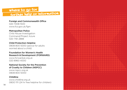### where to go for further help or information

### Foreign and Commonwealth Office

020 7008 1500 www.fco.gov.uk/fgm

### Metropolitan Police

Child Abuse Investigation Command/Project Azure 020 7161 2888

### Child Protection Helpline

0808 800 5000 (advice for adults worried about a child)

#### Foundation for Women's Health Research & Development (FORWARD)

www.forwarduk.org.uk 020 8960 4000

### National Society for the Prevention of Cruelty to Children (NSPCC)

www.nspcc.org.uk 0808 800 5000

### Childline

www.childline.org.uk 0800 1111 (24 hr free helpline for children)